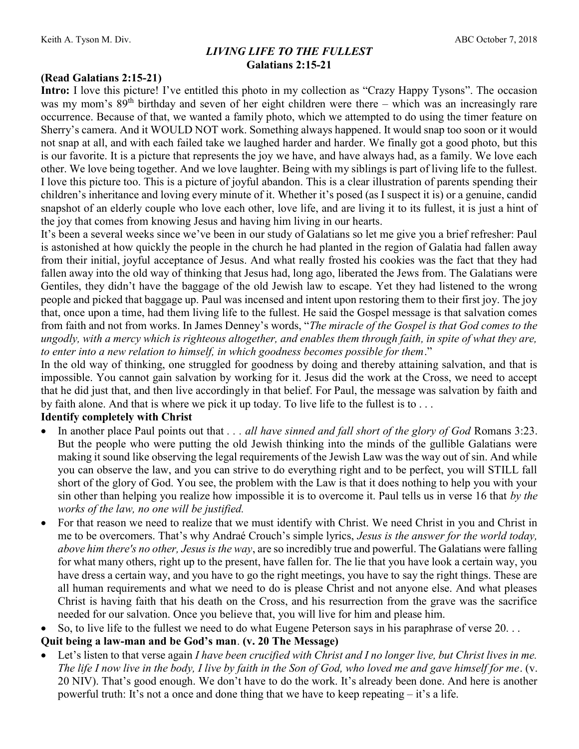### LIVING LIFE TO THE FULLEST Galatians 2:15-21

### (Read Galatians 2:15-21)

Intro: I love this picture! I've entitled this photo in my collection as "Crazy Happy Tysons". The occasion was my mom's 89<sup>th</sup> birthday and seven of her eight children were there – which was an increasingly rare occurrence. Because of that, we wanted a family photo, which we attempted to do using the timer feature on Sherry's camera. And it WOULD NOT work. Something always happened. It would snap too soon or it would not snap at all, and with each failed take we laughed harder and harder. We finally got a good photo, but this is our favorite. It is a picture that represents the joy we have, and have always had, as a family. We love each other. We love being together. And we love laughter. Being with my siblings is part of living life to the fullest. I love this picture too. This is a picture of joyful abandon. This is a clear illustration of parents spending their children's inheritance and loving every minute of it. Whether it's posed (as I suspect it is) or a genuine, candid snapshot of an elderly couple who love each other, love life, and are living it to its fullest, it is just a hint of the joy that comes from knowing Jesus and having him living in our hearts.

It's been a several weeks since we've been in our study of Galatians so let me give you a brief refresher: Paul is astonished at how quickly the people in the church he had planted in the region of Galatia had fallen away from their initial, joyful acceptance of Jesus. And what really frosted his cookies was the fact that they had fallen away into the old way of thinking that Jesus had, long ago, liberated the Jews from. The Galatians were Gentiles, they didn't have the baggage of the old Jewish law to escape. Yet they had listened to the wrong people and picked that baggage up. Paul was incensed and intent upon restoring them to their first joy. The joy that, once upon a time, had them living life to the fullest. He said the Gospel message is that salvation comes from faith and not from works. In James Denney's words, "The miracle of the Gospel is that God comes to the ungodly, with a mercy which is righteous altogether, and enables them through faith, in spite of what they are, to enter into a new relation to himself, in which goodness becomes possible for them."

In the old way of thinking, one struggled for goodness by doing and thereby attaining salvation, and that is impossible. You cannot gain salvation by working for it. Jesus did the work at the Cross, we need to accept that he did just that, and then live accordingly in that belief. For Paul, the message was salvation by faith and by faith alone. And that is where we pick it up today. To live life to the fullest is to . . .

### Identify completely with Christ

- In another place Paul points out that . . . all have sinned and fall short of the glory of God Romans 3:23. But the people who were putting the old Jewish thinking into the minds of the gullible Galatians were making it sound like observing the legal requirements of the Jewish Law was the way out of sin. And while you can observe the law, and you can strive to do everything right and to be perfect, you will STILL fall short of the glory of God. You see, the problem with the Law is that it does nothing to help you with your sin other than helping you realize how impossible it is to overcome it. Paul tells us in verse 16 that by the works of the law, no one will be justified.
- For that reason we need to realize that we must identify with Christ. We need Christ in you and Christ in me to be overcomers. That's why Andraé Crouch's simple lyrics, Jesus is the answer for the world today, above him there's no other, Jesus is the way, are so incredibly true and powerful. The Galatians were falling for what many others, right up to the present, have fallen for. The lie that you have look a certain way, you have dress a certain way, and you have to go the right meetings, you have to say the right things. These are all human requirements and what we need to do is please Christ and not anyone else. And what pleases Christ is having faith that his death on the Cross, and his resurrection from the grave was the sacrifice needed for our salvation. Once you believe that, you will live for him and please him.
- So, to live life to the fullest we need to do what Eugene Peterson says in his paraphrase of verse 20. . .

### Quit being a law-man and be God's man. (v. 20 The Message)

• Let's listen to that verse again I have been crucified with Christ and I no longer live, but Christ lives in me. The life I now live in the body, I live by faith in the Son of God, who loved me and gave himself for me. (v. 20 NIV). That's good enough. We don't have to do the work. It's already been done. And here is another powerful truth: It's not a once and done thing that we have to keep repeating – it's a life.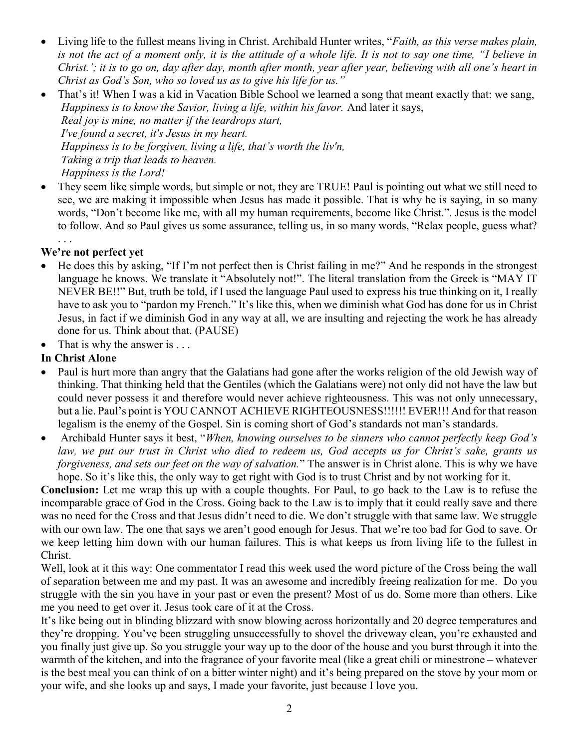- Living life to the fullest means living in Christ. Archibald Hunter writes, "Faith, as this verse makes plain, is not the act of a moment only, it is the attitude of a whole life. It is not to say one time, "I believe in Christ.'; it is to go on, day after day, month after month, year after year, believing with all one's heart in Christ as God's Son, who so loved us as to give his life for us."
- That's it! When I was a kid in Vacation Bible School we learned a song that meant exactly that: we sang, Happiness is to know the Savior, living a life, within his favor. And later it says, Real joy is mine, no matter if the teardrops start, I've found a secret, it's Jesus in my heart. Happiness is to be forgiven, living a life, that's worth the liv'n, Taking a trip that leads to heaven. Happiness is the Lord!
- They seem like simple words, but simple or not, they are TRUE! Paul is pointing out what we still need to see, we are making it impossible when Jesus has made it possible. That is why he is saying, in so many words, "Don't become like me, with all my human requirements, become like Christ.". Jesus is the model to follow. And so Paul gives us some assurance, telling us, in so many words, "Relax people, guess what?

# We're not perfect yet

. . .

- He does this by asking, "If I'm not perfect then is Christ failing in me?" And he responds in the strongest language he knows. We translate it "Absolutely not!". The literal translation from the Greek is "MAY IT NEVER BE!!" But, truth be told, if I used the language Paul used to express his true thinking on it, I really have to ask you to "pardon my French." It's like this, when we diminish what God has done for us in Christ Jesus, in fact if we diminish God in any way at all, we are insulting and rejecting the work he has already done for us. Think about that. (PAUSE)
- $\bullet$  That is why the answer is ...

# In Christ Alone

- Paul is hurt more than angry that the Galatians had gone after the works religion of the old Jewish way of thinking. That thinking held that the Gentiles (which the Galatians were) not only did not have the law but could never possess it and therefore would never achieve righteousness. This was not only unnecessary, but a lie. Paul's point is YOU CANNOT ACHIEVE RIGHTEOUSNESS!!!!!! EVER!!! And for that reason legalism is the enemy of the Gospel. Sin is coming short of God's standards not man's standards.
- Archibald Hunter says it best, "When, knowing ourselves to be sinners who cannot perfectly keep God's law, we put our trust in Christ who died to redeem us, God accepts us for Christ's sake, grants us forgiveness, and sets our feet on the way of salvation." The answer is in Christ alone. This is why we have hope. So it's like this, the only way to get right with God is to trust Christ and by not working for it.

Conclusion: Let me wrap this up with a couple thoughts. For Paul, to go back to the Law is to refuse the incomparable grace of God in the Cross. Going back to the Law is to imply that it could really save and there was no need for the Cross and that Jesus didn't need to die. We don't struggle with that same law. We struggle with our own law. The one that says we aren't good enough for Jesus. That we're too bad for God to save. Or we keep letting him down with our human failures. This is what keeps us from living life to the fullest in Christ.

Well, look at it this way: One commentator I read this week used the word picture of the Cross being the wall of separation between me and my past. It was an awesome and incredibly freeing realization for me. Do you struggle with the sin you have in your past or even the present? Most of us do. Some more than others. Like me you need to get over it. Jesus took care of it at the Cross.

It's like being out in blinding blizzard with snow blowing across horizontally and 20 degree temperatures and they're dropping. You've been struggling unsuccessfully to shovel the driveway clean, you're exhausted and you finally just give up. So you struggle your way up to the door of the house and you burst through it into the warmth of the kitchen, and into the fragrance of your favorite meal (like a great chili or minestrone – whatever is the best meal you can think of on a bitter winter night) and it's being prepared on the stove by your mom or your wife, and she looks up and says, I made your favorite, just because I love you.